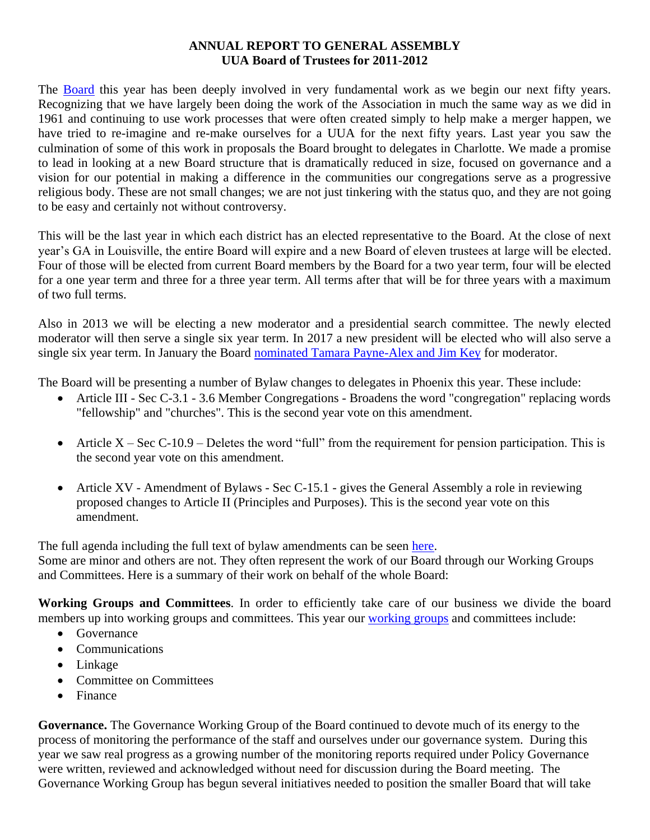## **ANNUAL REPORT TO GENERAL ASSEMBLY UUA Board of Trustees for 2011-2012**

The [Board](http://www.uua.org/aboutus/governance/index.shtml) this year has been deeply involved in very fundamental work as we begin our next fifty years. Recognizing that we have largely been doing the work of the Association in much the same way as we did in 1961 and continuing to use work processes that were often created simply to help make a merger happen, we have tried to re-imagine and re-make ourselves for a UUA for the next fifty years. Last year you saw the culmination of some of this work in proposals the Board brought to delegates in Charlotte. We made a promise to lead in looking at a new Board structure that is dramatically reduced in size, focused on governance and a vision for our potential in making a difference in the communities our congregations serve as a progressive religious body. These are not small changes; we are not just tinkering with the status quo, and they are not going to be easy and certainly not without controversy.

This will be the last year in which each district has an elected representative to the Board. At the close of next year's GA in Louisville, the entire Board will expire and a new Board of eleven trustees at large will be elected. Four of those will be elected from current Board members by the Board for a two year term, four will be elected for a one year term and three for a three year term. All terms after that will be for three years with a maximum of two full terms.

Also in 2013 we will be electing a new moderator and a presidential search committee. The newly elected moderator will then serve a single six year term. In 2017 a new president will be elected who will also serve a single six year term. In January the Board [nominated Tamara Payne-Alex and Jim Key](http://www.uua.org/news/newssubmissions/192176.shtml) for moderator.

The Board will be presenting a number of Bylaw changes to delegates in Phoenix this year. These include:

- Article III Sec C-3.1 3.6 Member Congregations Broadens the word "congregation" replacing words "fellowship" and "churches". This is the second year vote on this amendment.
- Article  $X Sec C-10.9 Deletes the word "full" from the requirement for pension participation. This is$ the second year vote on this amendment.
- Article XV Amendment of Bylaws Sec C-15.1 gives the General Assembly a role in reviewing proposed changes to Article II (Principles and Purposes). This is the second year vote on this amendment.

The full agenda including the full text of bylaw amendments can be seen [here.](http://www.uua.org/documents/gaoffice/agenda/2012_agenda.pdf)

Some are minor and others are not. They often represent the work of our Board through our Working Groups and Committees. Here is a summary of their work on behalf of the whole Board:

**Working Groups and Committees**. In order to efficiently take care of our business we divide the board members up into [working groups](http://www.uua.org/aboutus/governance/boardtrustees/workinggroups/index.shtml) and committees. This year our working groups and committees include:

- Governance
- Communications
- Linkage
- Committee on Committees
- Finance

**Governance.** The Governance Working Group of the Board continued to devote much of its energy to the process of monitoring the performance of the staff and ourselves under our governance system. During this year we saw real progress as a growing number of the monitoring reports required under Policy Governance were written, reviewed and acknowledged without need for discussion during the Board meeting. The Governance Working Group has begun several initiatives needed to position the smaller Board that will take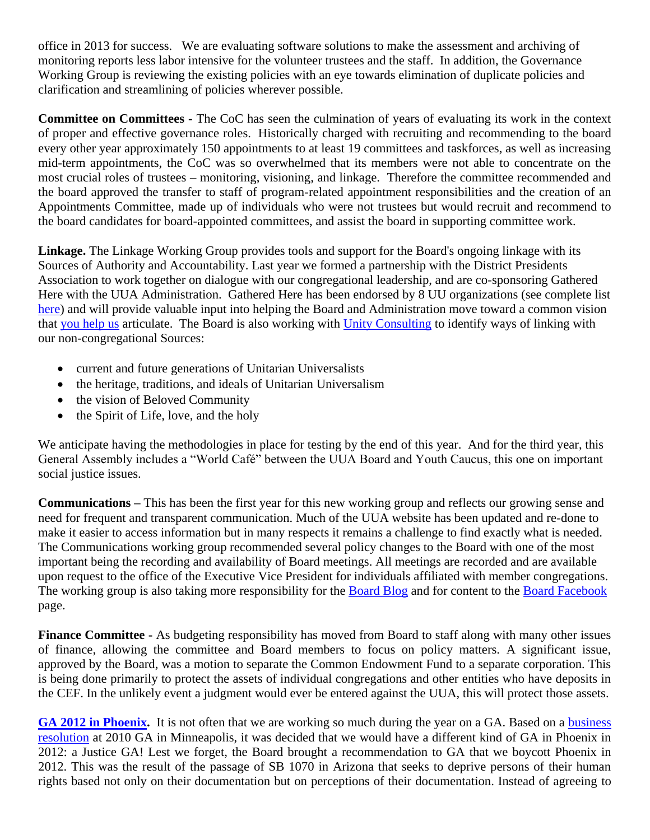office in 2013 for success. We are evaluating software solutions to make the assessment and archiving of monitoring reports less labor intensive for the volunteer trustees and the staff. In addition, the Governance Working Group is reviewing the existing policies with an eye towards elimination of duplicate policies and clarification and streamlining of policies wherever possible.

**Committee on Committees -** The CoC has seen the culmination of years of evaluating its work in the context of proper and effective governance roles. Historically charged with recruiting and recommending to the board every other year approximately 150 appointments to at least 19 committees and taskforces, as well as increasing mid-term appointments, the CoC was so overwhelmed that its members were not able to concentrate on the most crucial roles of trustees – monitoring, visioning, and linkage. Therefore the committee recommended and the board approved the transfer to staff of program-related appointment responsibilities and the creation of an Appointments Committee, made up of individuals who were not trustees but would recruit and recommend to the board candidates for board-appointed committees, and assist the board in supporting committee work.

**Linkage.** The Linkage Working Group provides tools and support for the Board's ongoing linkage with its Sources of Authority and Accountability. Last year we formed a partnership with the District Presidents Association to work together on dialogue with our congregational leadership, and are co-sponsoring Gathered Here with the UUA Administration. Gathered Here has been endorsed by 8 UU organizations (see complete list [here\)](http://www.uua.org/uuagovernance/vision/index.shtml) and will provide valuable input into helping the Board and Administration move toward a common vision that [you help us](http://www.uua.org/uuagovernance/vision/index.shtml) articulate. The Board is also working with [Unity Consulting](http://www.unityconsulting.org/) to identify ways of linking with our non-congregational Sources:

- current and future generations of Unitarian Universalists
- the heritage, traditions, and ideals of Unitarian Universalism
- the vision of Beloved Community
- the Spirit of Life, love, and the holy

We anticipate having the methodologies in place for testing by the end of this year. And for the third year, this General Assembly includes a "World Café" between the UUA Board and Youth Caucus, this one on important social justice issues.

**Communications –** This has been the first year for this new working group and reflects our growing sense and need for frequent and transparent communication. Much of the UUA website has been updated and re-done to make it easier to access information but in many respects it remains a challenge to find exactly what is needed. The Communications working group recommended several policy changes to the Board with one of the most important being the recording and availability of Board meetings. All meetings are recorded and are available upon request to the office of the Executive Vice President for individuals affiliated with member congregations. The working group is also taking more responsibility for the [Board Blog](http://board.blogs.uua.org/) and for content to the [Board Facebook](http://www.facebook.com/pages/UUA-Board-of-Trustees/112477322127546) page.

**Finance Committee -** As budgeting responsibility has moved from Board to staff along with many other issues of finance, allowing the committee and Board members to focus on policy matters. A significant issue, approved by the Board, was a motion to separate the Common Endowment Fund to a separate corporation. This is being done primarily to protect the assets of individual congregations and other entities who have deposits in the CEF. In the unlikely event a judgment would ever be entered against the UUA, this will protect those assets.

**[GA 2012 in Phoenix.](http://www.uuworld.org/news/articles/175338.shtml)** It is not often that we are working so much during the year on a GA. Based on a [business](http://www.uua.org/socialjustice/socialjustice/statements/169115.shtml)  [resolution](http://www.uua.org/socialjustice/socialjustice/statements/169115.shtml) at 2010 GA in Minneapolis, it was decided that we would have a different kind of GA in Phoenix in 2012: a Justice GA! Lest we forget, the Board brought a recommendation to GA that we boycott Phoenix in 2012. This was the result of the passage of SB 1070 in Arizona that seeks to deprive persons of their human rights based not only on their documentation but on perceptions of their documentation. Instead of agreeing to